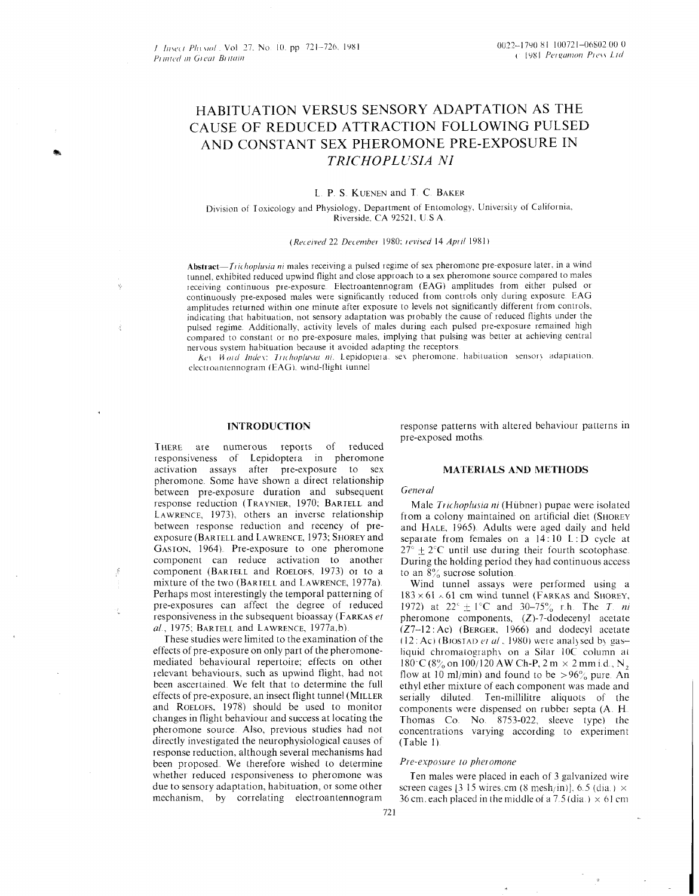# HABITUATION VERSUS SENSORY ADAPTATION AS THE CAUSE OF REDUCED ATTRACTION FOLLOWING PULSED AND CONSTANT SEX PHEROMONE PRE-EXPOSURE IN *TRICHOPL LTSIA NI*

## L. P. S. KUENEN and T. C. BAKER

## Division of Toxicology and Physiology, Department of Entomology, University of California, Riverside CA 92521. U S A

#### *(Received 22 December 1980; revised 14 April 1981)*

*Abstract-Tiithop/u'iia 171* males receiving a pulsed regime of sex pheromone pre-exposure later, in a wind tunnel, exhibited reduced upwind flight and close approach to a sex pheromone source compared to males receiving continuous pie-exposure Electroantennogram (EAG) amplitudes from either pulsed or continuously pie-exposed males were significantly reduced from controls only during exposure EAG amplitudes returned within one minute after exposure to levels not significantly different from controls. indicating that habituation, not sensory adaptation was probably the cause of reduced flights under the pulsed regime Additionally, activity levels of males during each pulsed pre-exposure remained high compared to constant or no pre-exposure males, implying that pulsing was better at achieving central nervous system habituation because it avoided adapting the receptors.

*Key Word Index: Trichoplusia ni.* Lepidoptera, sex pheromone, habituation sensory adaptation. electroantennogram (EAG), wind-flight tunnel

#### **INTRODUCTION**

THERE are numerous reports of reduced responsiveness of Lepidoptera in pheromone activation assays after pie-exposure to sex pheromone. Some have shown a direct relationship between pre-exposure duration and subsequent response reduction (TRAYNIER, 1970; BARIELL and LAWRENCE, 1973), others an inverse relationship between response reduction and recency of preexposure (BARTELL and LAWRENCE, 1973; SHOREY and GASION, 1964) Pre-exposure to one pheromone component can reduce activation to another component (BARIELL and ROELOFS, 1973) or to a mixture of the two (BARTELL and LAWRENCE, 1977a). Perhaps most interestingly the temporal patterning of pre-exposures can affect the degree of reduced responsiveness in the subsequent bioassay (FARKAS *et*   $al.$ , 1975; BARTELL and LAWRENCE, 1977a,b).

These studies were limited to the examination of the effects of pre-exposure on only part of the pheromonemediated behavioural repertoire; effects on other relevant behaviours, such as upwind flight, had not been ascertained. We felt that to determine the full effects of pre-exposure, an insect flight tunnel (MILLER and ROELOFS, 1978) should be used to monitor changes in flight behaviour and success at locating the pheromone source Also, previous studies had not directly investigated the neurophysiological causes of response reduction, although several mechanisms had been proposed. We therefore wished to determine whether reduced responsiveness to pheromone was due to sensory adaptation, habituation, or some other mechanism, by correlating electroantennogram

response patterns with altered behaviour patterns in pre-exposed moths

#### **MATERIALS AND METHODS**

#### *General*

Male *Trichoplusia ni* (Hübner) pupae were isolated from a colony maintained on artificial diet (SHOREY and HALE, 1965) Adults were aged daily and held separate from females on a  $14:10$  L:D cycle at  $27^{\circ} \pm 2^{\circ}$ C until use during their fourth scotophase. During the holding period they had continuous access to an  $8\%$  sucrose solution.

Wind tunnel assays were performed using a  $183 \times 61$   $\sim$  61 cm wind tunnel (FARKAS and SHOREY, 1972) at  $22^{\circ} \pm 1^{\circ}$ C and  $30-75^{\circ}$  r.h. The *T ni* pheromone components, (Z)-7-dodecenyl acetate (Z7-12 : Ac) (BERGER. 1966) and dodecyl acetate  $(12: Ac)$  (BJOSTAD *et al*. 1980) were analysed by gasliquid chromatography on a Silar 10C column at  $180^{\circ}$ C(8% on 100/120 AW Ch-P, 2 m  $\times$  2 mm i.d., N<sub>2</sub> flow at 10 ml/min) and found to be  $>96\%$  pure. An ethyl ether mixture of each component was made and serially diluted. Ten-millilitre aliquots of the components were dispensed on rubber septa (A. H. Thomas Co. No. 8753-022, sleeve type) the concentrations varying according to experiment (Table 1)

#### *Pre-exposure to phei onione*

Ten males were placed in each of 3 galvanized wire screen cages  $\left|3\right\rangle$  15 wires, cm  $\left(8\right\rangle$  mesh<sub>/</sub>in)  $\left|6\right\rangle$ , 6.5  $\left(\text{dia.}\right) \times$ 36 cm, each placed in the middle of a  $7.5$  (dia.)  $\times$  61 cm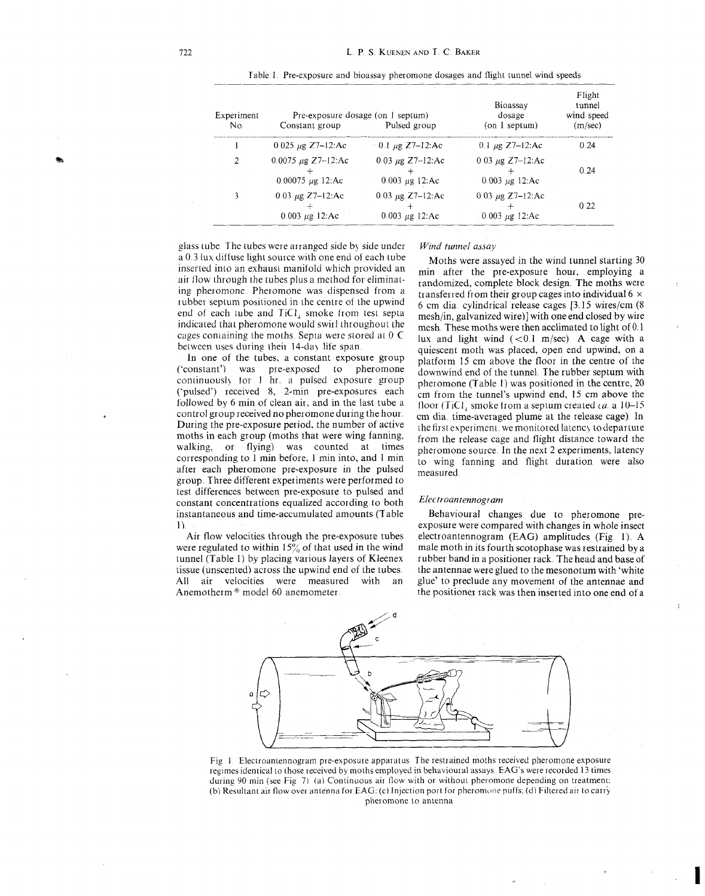| Experiment<br>No. | Pre-exposure dosage (on 1 septum)<br>Constant group | Pulsed group                                  | Bioassay<br>dosage<br>$($ on 1 septum $)$    | Flight<br>tunnel<br>wind speed<br>(m/sec) |
|-------------------|-----------------------------------------------------|-----------------------------------------------|----------------------------------------------|-------------------------------------------|
|                   | $0.025 \mu g$ Z7-12:Ac                              | $-0.1 \mu$ g Z7-12:Ac                         | 0.1 $\mu$ g Z7-12:Ac                         | 0.24                                      |
| 2                 | 0.0075 $\mu$ g Z7-12:Ac<br>$0.00075 \mu g$ 12:Ac    | $0.03 \mu g$ Z7-12:Ac<br>0.003 $\mu$ g 12:Ac  | $0.03 \mu g$ Z7-12:Ac<br>$0.003 \mu g$ 12:Ac | 0.24                                      |
|                   | 0.03 $\mu$ g Z7-12:Ac<br>$0.003 \mu g$ 12:Ac        | 0.03 $\mu$ g Z7-12:Ac.<br>0.003 $\mu$ g 12:Ac | 0.03 $\mu$ g Z7-12:Ac<br>$0.003 \mu g$ 12:Ac | 0 2 2                                     |

Table 1 Pie-exposure and bioassay pheromone dosages and flight tunnel wind speeds

glass tube. The tubes were arranged side by side under a 0 3 lux diffuse light source with one end of each tube inserted into an exhaust manifold which provided an air flow through the tubes plus a method for eliminating pheromone. Pheromone was dispensed from a rubber septum positioned in the centre of the upwind end of each tube and TiCl, smoke fiom test septa indicated that pheromone would swirl throughout the cages containing the moths Septa were stored at 0 C between uses during their 14-day life span.

In one of the tubes, a constant exposure group ('constant') was pre-exposed to pheromone continuously for 1 hr a pulsed exposure group ('pulsed') received 8, 2-min pre-exposures each followed by 6 min of clean air, and in the last tube a control group received no pheromone during the hour During the pre-exposure period, the number of active moths in each group (moths that were wing fanning, walking, or flying) was counted at times corresponding to 1 min before, 1 min into, and 1 min after each pheromone pre-exposure in the pulsed group Three different experiments were performed to test differences between pre-exposure to pulsed and constant concentrations equalized according to both instantaneous and time-accumulated amounts (Table 1)

Air flow velocities through the pie-exposure tubes were regulated to within  $15\%$  of that used in the wind tunnel (Table 1) by placing various layers of Kleenex tissue (unscented) across the upwind end of the tubes All Air velocities were measured with an Anemotherm  $\textdegree$  model 60 anemometer.

#### *Wind tunnel assay*

Moths were assayed in the wind tunnel starting 30 min after the pie-exposure hour, employing a randomized, complete block design The moths were transferred from their group cages into individual 6  $\times$ 6 cm dia cylindrical release cages [3 15 wires/cm (8 mesh/in, galvanized wire)] with one end closed by wire mesh. These moths were then acclimated to light of 0.1 lux and light wind  $(<0.1$  m/sec). A cage with a quiescent moth was placed, open end upwind, on a platform 15 cm above the floor in the centre of the downwind end of the tunnel The rubber septum with pheromone (Table 1) was positioned in the centre, 20 cm from the tunnel's upwind end, 15 cm above the floor (TiC1) smoke from a septum created  $ca$  a  $10-15$ cm dia time-averaged plume at the release cage) In the first experiment, we monitored latency to departure from the release cage and flight distance toward the pheromone source In the next 2 experiments, latency to wing fanning and flight duration were also measured

#### *Electroantennogram*

Behavioural changes due to pheromone preexposure were compared with changes in whole insect electroantennogram (EAG) amplitudes (Fig. 1) A male moth in its fourth scotophase was restrained by a rubber band in a positioner rack. The head and base of the antennae were glued to the mesonotum with 'white glue' to preclude any movement of the antennae and the positioner rack was then inserted into one end of a



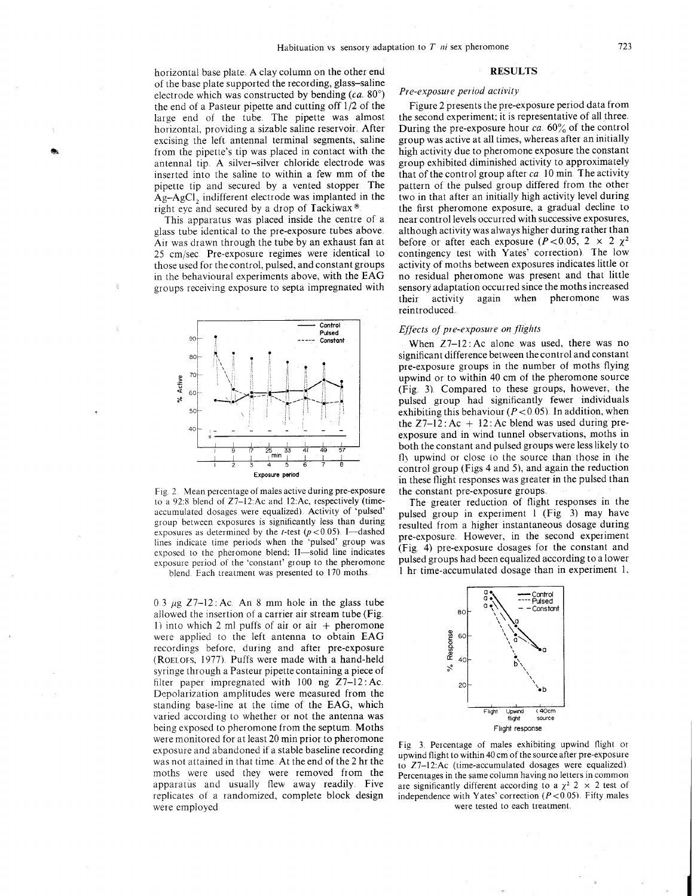horizontal base plate. A clay column on the other end of the base plate supported the recording, glass-sa11ne electrode which was constructed by bending  $(ca.80^{\circ})$ the end of a Pasteur pipette and cutting off  $1/2$  of the large end of the tube The pipette was almost horizontal, providing a sizable saline reservoir After excising the left antenna1 terminal segments, saline from the pipette's tip was placed in contact with the antennal tip. A silver-silver chloride electrode was inserted into the saline to within a few mm of the pipette tip and secured by a vented stopper The  $Ag-AgCl$ , indifferent electrode was implanted in the right eye and secured by a drop of Tackiwax<sup>®</sup>

This apparatus was placed inside the centre of a glass tube identical to the pre-exposure tubes above Air was drawn through the tube by an exhaust fan at 25 cm/sec Pre-exposure regimes were identical to those used for the control, pulsed, and constant groups in the behavioural experiments above, with the EAG groups receiving exposure to septa impregnated with



Fig. 2. Mean percentage of males active during pre-exposure to a 92:8 blend of Z7-12:Ac and 12:Ac, respectively (timeaccumulated dosages were equalized). Activity of 'pulsed' group between exposures is significantly less than during exposures as determined by the t-test ( $p < 0.05$ ). I-dashed lines indicate time periods when the 'pulsed' group was exposed to the pheromone blend: II-solid line indicates exposuie period of the 'constant' group to the pheromone

blend Each treatment was presented to 170 moths

0.3  $\mu$ g Z7-12: Ac. An 8 mm hole in the glass tube allowed the insertion of a carrier air stream tube (Fig 1) into which 2 ml puffs of air or air  $+$  pheromone were applied to the left antenna to obtain EAG recordings before, during and after pre-exposure (ROELOF?, 1977) Puffs were made with a hand-held syringe through a Pasteur pipette containing a piece of filter paper impregnated with  $100$  ng  $Z7-12$ : Ac. Depolarization amplitudes were measured from the standing base-line at the time of the EAG, which varied according to whether or not the antenna was being exposed to pheromone from the septum. Moths were monitored for at least 20 min prior to pheromone exposure and abandoned if a stable baseline recording was not attained in that time At the end of the 2 hr the moths were used they were removed from the apparatus and usually flew away readily. Five replicates of a randomized, complete block design were employed

#### **RESULTS**

# Pre-exposure period activity

Figure 2 presents the pre-exposure period data from the second experiment, it is representative of all three During the pre-exposure hour  $ca. 60\%$  of the control group was active at all times, whereas after an initially high activity due to pheromone exposure the constant group exhibited diminished activity to approximately that of the control group after  $ca$  10 min The activity pattern of the pulsed group differed from the other two in that after an initially high activity level during the first pheromone exposure, a gradual decline to near control levels occurred with successive exposures, although activity wasalways higher during rather than before or after each exposure ( $P < 0.05$ ,  $2 \times 2 \chi^2$ contingency test with Yates' correction). The low activity of moths between exposures indicates little or no residual pheromone was present and that little sensory adaptation occurred since the moths increased<br>their activity again when pheromone was again when pheromone reintroduced

## Effects of pre-exposure on flights

When  $Z7-12$ : Ac alone was used, there was no significant difference between thecontrol and constant pre-exposure groups in the number of moths flying upwind or to within 40 cm of the pheromone source (Fig 3) Compared to these groups, however, the pulsed group had significantly fewer individuals exhibiting this behaviour ( $P < 0.05$ ). In addition, when the  $Z7-12$ : Ac + 12: Ac blend was used during preexposure and in wind tunnel observations, moths in both the constant and pulsed groups were less likely to fly upwind or close to the source than those in the control group (Figs 4 and *5),* and again the reduction in these flight responses was greater in the pulsed than the constant pre-exposure groups

The greater reduction of flight responses in the pulsed group in experiment 1 (Fig 3) may have resulted from a higher instantaneous dosage during pre-exposure. However, in the second experiment (Fig 4) pre-exposure dosages for the constant and pulsed groups had been equalized according to a lower 1 hr time-accumulated dosage than in experiment 1.



Fig. 3. Percentage of males exhibiting upwind flight or upwind flight to within 40 cm of the source after pre-exposure to  $Z7-12$ : Ac (time-accumulated dosages were equalized). Percentages in the same column having no letters in common are significantly different according to a  $\chi^2$  2 × 2 test of independence with Yates' correction ( $P < 0.05$ ). Fifty males were tested to each treatment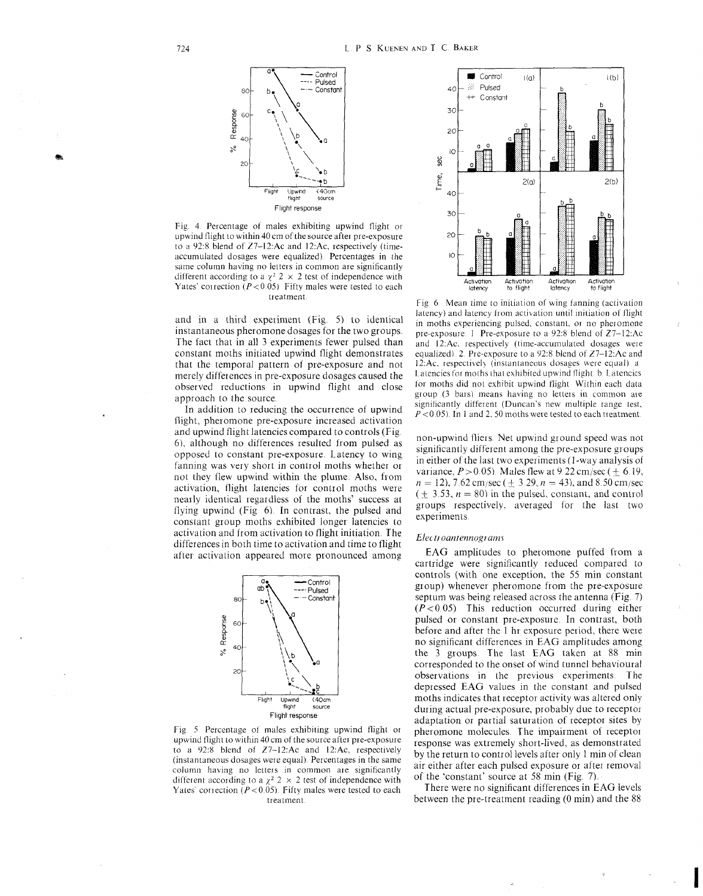

Fig. 4. Percentage of males exhibiting upwind flight or upwind flight to within 40 cm of the source after pre-exposure to a 92:8 blend of  $Z7-12$ : Ac and  $12$ : Ac, respectively (timeaccumulated dosages were equalized) Percentages in the same column having no letters in common are significantly different according to a  $\chi^2$  2  $\times$  2 test of independence with Yates' correction ( $P < 0.05$ ) Fifty males were tested to each treatment

and in a third experiment (Fig. 5) to identical instantaneous pheromone dosages for the two groups. The fact that in all 3 experiments fewer pulsed than constant moths initiated upwind flight demonstrates that the temporal pattern of pre-exposure and not merely differences in pre-exposure dosages caused the observed reductions in upwind flight and close approach to the source

In addition to reducing the occurrence of upwind flight, pheromone pre-exposure increased activation and upwind flight latencies compared to controls (Fig, 6), although no differences resulted from pulsed as opposed to constant pre-exposure Latency to wing fanning was very short in control moths whether or not they flew upwind within the plume Also, from activation. flight latencies for control moths were nearly identical regardless of the moths' success at flying upwind  $(Fig 6)$ . In contrast, the pulsed and constant group moths exhibited longer latencies to activation and from activation to flight initiation. The differences in both time to activation and time to flight after activalion appeared more pronounced among



Fig. 5 Percentage of males exhibiting upwind flight or upwind flight to within 40 cm of the source after pre-exposure to a 92:8 blend of 27-12:Ac and 12:Ac, respectively (instantaneous dosages were equal). Percentages in the same column having no letters in common are significantly different according to a  $\chi^2$  2  $\times$  2 test of independence with Yates' correction ( $P < 0.05$ ). Fifty males were tested to each treatment



Fig 6 Mean time to initiation of wing fanning (activation latency) and latency from activation until initiation of flight in moths experiencing pulsed, constant, or no pheromone pre-exposure 1 Pre-exposure to a 92:8 blend of  $Z7-12$ :Ac and 12:Ac. respectively (time-accumulated dosages were equalized) 2 Pre-exposure to a 92:8 blend of Z7-12:Ac and 12:Ac, respectively (instantaneous dosages were equal) a Latencies for moths that exhibited upwind flight. b. Latencies for moths did not exhibit upwind flight Within each data group (3 bars) means having no letters in common are  $significantly$  different (Duncan's new multiple range test,  $P < 0.05$ ). In 1 and 2, 50 moths were tested to each treatment.

non-upwind fliers. Net upwind ground speed was not significantly different among the pre-exposure groups in either of the last two experiments  $(1$ -way analysis of variance,  $P > 0.05$ ). Males flew at 9.22 cm/sec ( $\pm$  6.19,  $n = 12$ , 7.62 cm/sec ( $\pm$  3.29,  $n = 43$ ), and 8.50 cm/sec  $(+ 3.53, n = 80)$  in the pulsed, constant, and control groups respectively, averaged for the last two experiments

## Electroantennograms

EAG amplitudes to pheromone puffed from a cartridge were significantly reduced compared to controls (with one exception, the 55 min constant group) whenever pheromone from the pre-exposure septum was being released across the antenna (Fig. 7)  $(P<0.05)$ . This reduction occurred during either pulsed or constant pre-exposure. In contrast, both before and after the 1 hr exposure period, there were no significant differences in EAG amplitudes among the 3 groups. The last EAG taken at 88 min corresponded to the onset of wind tunnel behavioural observations in the previous experiments. The depressed EAG values in the constant and pulsed moths indicates that receptor activity was altered only during actual pre-exposure, probably due to receptor adaptation or partial saturation of receptor sites by pheromone molecules. The impairment of receptor response was extremely short-lived, as demonstrated by the return to control levels after only 1 min of clean air either after each pulsed exposure or after removal of the 'constant' source at 58 min (Fig. 7)

There were no significant differences in EAG levels between the pre-treatment reading (0 min) and the 88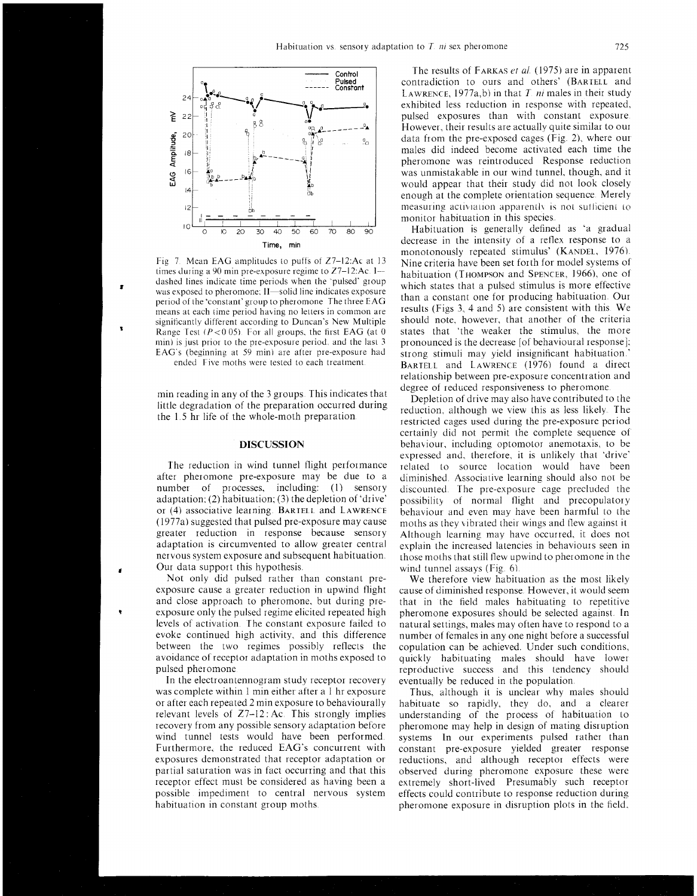

Fig 7. Mean EAG amplitudes to puffs of Z7-12:Ac at 13 times during a 90 min pre-exposure regime to  $Z7-12$ :Ac. I--dashed lines indicate time periods when the "pulsed' group was exposed to pheromone; II—solid line indicates exposure period of the 'constant' group to pheromone The three EAG means at each time period having no letters in common are significantly different according to Duncan's New Multiple **Range Test**  $(P < 0.05)$ . For all groups, the first **EAG** (at 0) min) is just prior to the pre-exposure period, and the last 3 EAG's (beginning at 59 min) are atter pre-exposure had ended Five moths were tested to each treatment.

min reading in any of the 3 groups. This indicates that little degradation of the preparation occurred during the 1.5 hr life of the whole-moth preparation.

#### **DISCUSSION**

The reduction in wind tunnel flight performance after pheromone pre-exposure may be due to a number of processes, including:  $(1)$  sensory adaptation, (2) habituation, (3) the depletion of 'drive' or  $(4)$  associative learning. BARIELL and LAWRENCE (1977a) suggested that pulsed pre-exposure may cause greater reduction in response because sensory adaptation is circumvented to allow greater central nervous system exposure and subsequent habituation. Our data support this hypothesis.

Not only did pulsed rather than constant preexposure cause a greater reduction in upwind flight and close approach to pheromone, but during pre exposure only the pulsed regime elicited repeated high levels of activation The constant exposure failed to evoke continued high activity, and this difference between the two regimes possibly reflects the avoidance of receptor adaptation in moths exposed to pulsed pheromone

In the electroantennogram study receptor recovery was complete within 1 min either after a I hr exposure or after each repeated 2 min exposure to behaviourally relevant levels of  $Z7-12$ : Ac. This strongly implies recovery from any possible sensory adaptation before wind tunnel tests would have been performed Furthermore, the reduced EAG's concurrent with exposures demonstrated that receptor adaptation or partial saturation was in fact occurring and that this receptor effect must be considered as having been a possible impediment to central nervous system habituation in constant group moths

The results of FARKAS *et al.* (1975) are in apparent contradiction to ours and others' (BARTELL and LAWRENCE,  $1977a,b$  in that T *ni* males in their study exhibited less reduction in response with repeated, pulsed exposures than with constant exposure However, their results are actually quite similar to our data from the pre-exposed cages (Fig. 2), where our males did indeed become activated each time the pheromone was reintroduced Response reduction was unmistakable in our wind tunnel, though, and it would appear that their study did not look closely enough at the complete orientation sequence Merely measuring activiation apparently is not sufficient to monitor habituation in this species

Habituation is generally defined as 'a gradual decrease in the intensity of a reflex response to a monotonously repeated stimulus' (KANDEL, 1976). Nine criteria have been set forth for model systems of habituation (T $HOMPSON$  and SPENCER, 1966), one of which states that a pulsed stimulus is more effective than a constant one for producing habituation Our results (Figs 3, 4 and 5) are consistent with this We should note, however, that another of the criteria states that 'the weaker the stimulus, the more pronounced is the decrease [of behavioural response]: strong stimuli may yield insignificant habituation ' BARTELL and LAWRENCE (1976) found a direct relationship between pre-exposure concentration and degree of reduced responsiveness to pheromone

Depletion of drive may also have contributed to the reduction, although we view this as less likely. The restricted cages used during the pre-exposure period certainly did not permit the complete sequence of behaviour, including optomotor anemotaxis, to be expressed and, therefore, it is unlikely that 'drive' elated to source location would have been diminished. Associative learning should also not be discounted The pre-exposure cage precluded the possibility of normal flight and precopulatory behaviour and even may have been harmful to the moths as they vibrated their wings and flew against it Although learning may have occurred, it does not explain the increased latencies in behaviours seen in those moths that still flew upwind to pheromone in the wind tunnel assays (Fig.  $6$ ).

We therefore view habituation as the most likely cause of diminished response However, it would seem that in the field males habituating to repetitive pheromone exposures should be selected against In natural settings, males may often have to respond to a number of females in any one night before a successful copulation can be achieved, LJnder such conditions, quickly habituating males should have lower reproductive success and this tendency should eventually be reduced in the population

Thus, although it is unclear why males should habituate so rapidly, they do, and a clearer understanding of the process of habituation to pheromone may help in design of mating disruption systems In our experiments pulsed rather than constant pre-exposure yielded greater response reductions, and although receptor effects were observed during pheromone exposure these were extremely short-lived Presumably such receptor effects could contribute to response reduction during pheromone exposure in disruption plots in the field.